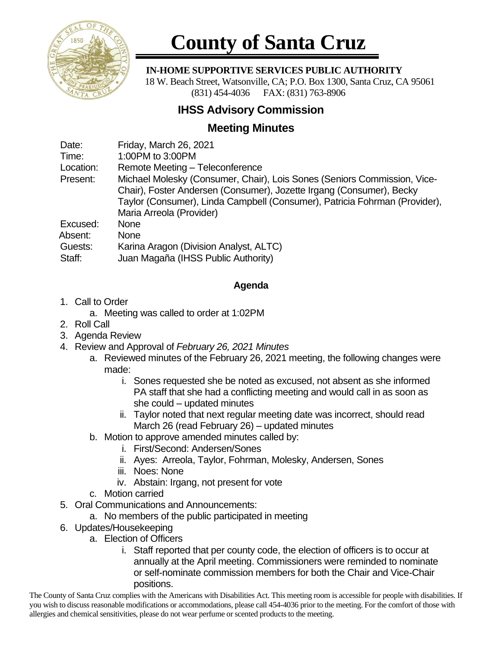

# **County of Santa Cruz**

### **IN-HOME SUPPORTIVE SERVICES PUBLIC AUTHORITY**

 18 W. Beach Street, Watsonville, CA; P.O. Box 1300, Santa Cruz, CA 95061 (831) 454-4036 FAX: (831) 763-8906

## **IHSS Advisory Commission**

## **Meeting Minutes**

| Friday, March 26, 2021                                                                                                                                                                                                                                     |
|------------------------------------------------------------------------------------------------------------------------------------------------------------------------------------------------------------------------------------------------------------|
| 1:00PM to 3:00PM                                                                                                                                                                                                                                           |
| Remote Meeting - Teleconference                                                                                                                                                                                                                            |
| Michael Molesky (Consumer, Chair), Lois Sones (Seniors Commission, Vice-<br>Chair), Foster Andersen (Consumer), Jozette Irgang (Consumer), Becky<br>Taylor (Consumer), Linda Campbell (Consumer), Patricia Fohrman (Provider),<br>Maria Arreola (Provider) |
| <b>None</b>                                                                                                                                                                                                                                                |
| <b>None</b>                                                                                                                                                                                                                                                |
| Karina Aragon (Division Analyst, ALTC)<br>Juan Magaña (IHSS Public Authority)                                                                                                                                                                              |
|                                                                                                                                                                                                                                                            |

### **Agenda**

- 1. Call to Order
	- a. Meeting was called to order at 1:02PM
- 2. Roll Call
- 3. Agenda Review
- 4. Review and Approval of *February 26, 2021 Minutes*
	- a. Reviewed minutes of the February 26, 2021 meeting, the following changes were made:
		- i. Sones requested she be noted as excused, not absent as she informed PA staff that she had a conflicting meeting and would call in as soon as she could – updated minutes
		- ii. Taylor noted that next regular meeting date was incorrect, should read March 26 (read February 26) – updated minutes
	- b. Motion to approve amended minutes called by:
		- i. First/Second: Andersen/Sones
		- ii. Ayes: Arreola, Taylor, Fohrman, Molesky, Andersen, Sones
		- iii. Noes: None
		- iv. Abstain: Irgang, not present for vote
	- c. Motion carried
- 5. Oral Communications and Announcements:
	- a. No members of the public participated in meeting
- 6. Updates/Housekeeping
	- a. Election of Officers
		- i. Staff reported that per county code, the election of officers is to occur at annually at the April meeting. Commissioners were reminded to nominate or self-nominate commission members for both the Chair and Vice-Chair positions.

The County of Santa Cruz complies with the Americans with Disabilities Act. This meeting room is accessible for people with disabilities. If you wish to discuss reasonable modifications or accommodations, please call 454-4036 prior to the meeting. For the comfort of those with allergies and chemical sensitivities, please do not wear perfume or scented products to the meeting.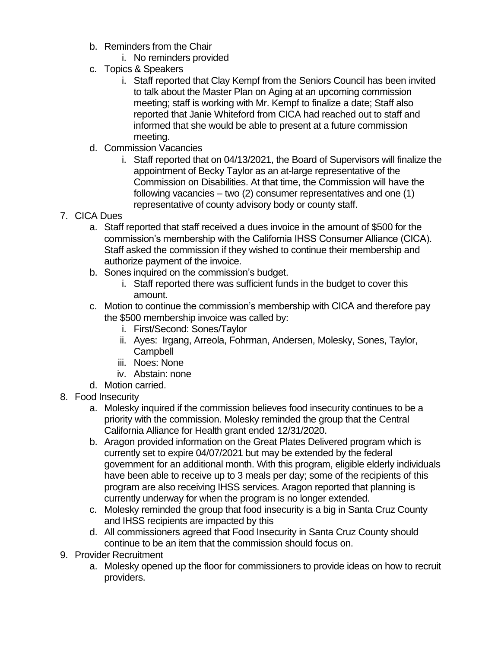- b. Reminders from the Chair
	- i. No reminders provided
- c. Topics & Speakers
	- i. Staff reported that Clay Kempf from the Seniors Council has been invited to talk about the Master Plan on Aging at an upcoming commission meeting; staff is working with Mr. Kempf to finalize a date; Staff also reported that Janie Whiteford from CICA had reached out to staff and informed that she would be able to present at a future commission meeting.
- d. Commission Vacancies
	- i. Staff reported that on 04/13/2021, the Board of Supervisors will finalize the appointment of Becky Taylor as an at-large representative of the Commission on Disabilities. At that time, the Commission will have the following vacancies – two (2) consumer representatives and one (1) representative of county advisory body or county staff.
- 7. CICA Dues
	- a. Staff reported that staff received a dues invoice in the amount of \$500 for the commission's membership with the California IHSS Consumer Alliance (CICA). Staff asked the commission if they wished to continue their membership and authorize payment of the invoice.
	- b. Sones inquired on the commission's budget.
		- i. Staff reported there was sufficient funds in the budget to cover this amount.
	- c. Motion to continue the commission's membership with CICA and therefore pay the \$500 membership invoice was called by:
		- i. First/Second: Sones/Taylor
		- ii. Ayes: Irgang, Arreola, Fohrman, Andersen, Molesky, Sones, Taylor, **Campbell**
		- iii. Noes: None
		- iv. Abstain: none
	- d. Motion carried.
- 8. Food Insecurity
	- a. Molesky inquired if the commission believes food insecurity continues to be a priority with the commission. Molesky reminded the group that the Central California Alliance for Health grant ended 12/31/2020.
	- b. Aragon provided information on the Great Plates Delivered program which is currently set to expire 04/07/2021 but may be extended by the federal government for an additional month. With this program, eligible elderly individuals have been able to receive up to 3 meals per day; some of the recipients of this program are also receiving IHSS services. Aragon reported that planning is currently underway for when the program is no longer extended.
	- c. Molesky reminded the group that food insecurity is a big in Santa Cruz County and IHSS recipients are impacted by this
	- d. All commissioners agreed that Food Insecurity in Santa Cruz County should continue to be an item that the commission should focus on.
- 9. Provider Recruitment
	- a. Molesky opened up the floor for commissioners to provide ideas on how to recruit providers.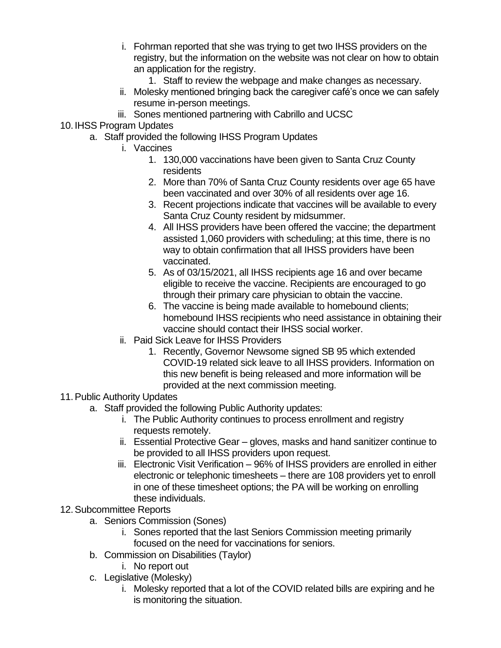- i. Fohrman reported that she was trying to get two IHSS providers on the registry, but the information on the website was not clear on how to obtain an application for the registry.
	- 1. Staff to review the webpage and make changes as necessary.
- ii. Molesky mentioned bringing back the caregiver café's once we can safely resume in-person meetings.
- iii. Sones mentioned partnering with Cabrillo and UCSC
- 10. IHSS Program Updates
	- a. Staff provided the following IHSS Program Updates
		- i. Vaccines
			- 1. 130,000 vaccinations have been given to Santa Cruz County residents
			- 2. More than 70% of Santa Cruz County residents over age 65 have been vaccinated and over 30% of all residents over age 16.
			- 3. Recent projections indicate that vaccines will be available to every Santa Cruz County resident by midsummer.
			- 4. All IHSS providers have been offered the vaccine; the department assisted 1,060 providers with scheduling; at this time, there is no way to obtain confirmation that all IHSS providers have been vaccinated.
			- 5. As of 03/15/2021, all IHSS recipients age 16 and over became eligible to receive the vaccine. Recipients are encouraged to go through their primary care physician to obtain the vaccine.
			- 6. The vaccine is being made available to homebound clients; homebound IHSS recipients who need assistance in obtaining their vaccine should contact their IHSS social worker.
		- ii. Paid Sick Leave for IHSS Providers
			- 1. Recently, Governor Newsome signed SB 95 which extended COVID-19 related sick leave to all IHSS providers. Information on this new benefit is being released and more information will be provided at the next commission meeting.
- 11.Public Authority Updates
	- a. Staff provided the following Public Authority updates:
		- i. The Public Authority continues to process enrollment and registry requests remotely.
		- ii. Essential Protective Gear gloves, masks and hand sanitizer continue to be provided to all IHSS providers upon request.
		- iii. Electronic Visit Verification 96% of IHSS providers are enrolled in either electronic or telephonic timesheets – there are 108 providers yet to enroll in one of these timesheet options; the PA will be working on enrolling these individuals.
- 12.Subcommittee Reports
	- a. Seniors Commission (Sones)
		- i. Sones reported that the last Seniors Commission meeting primarily focused on the need for vaccinations for seniors.
	- b. Commission on Disabilities (Taylor)
		- i. No report out
	- c. Legislative (Molesky)
		- i. Molesky reported that a lot of the COVID related bills are expiring and he is monitoring the situation.